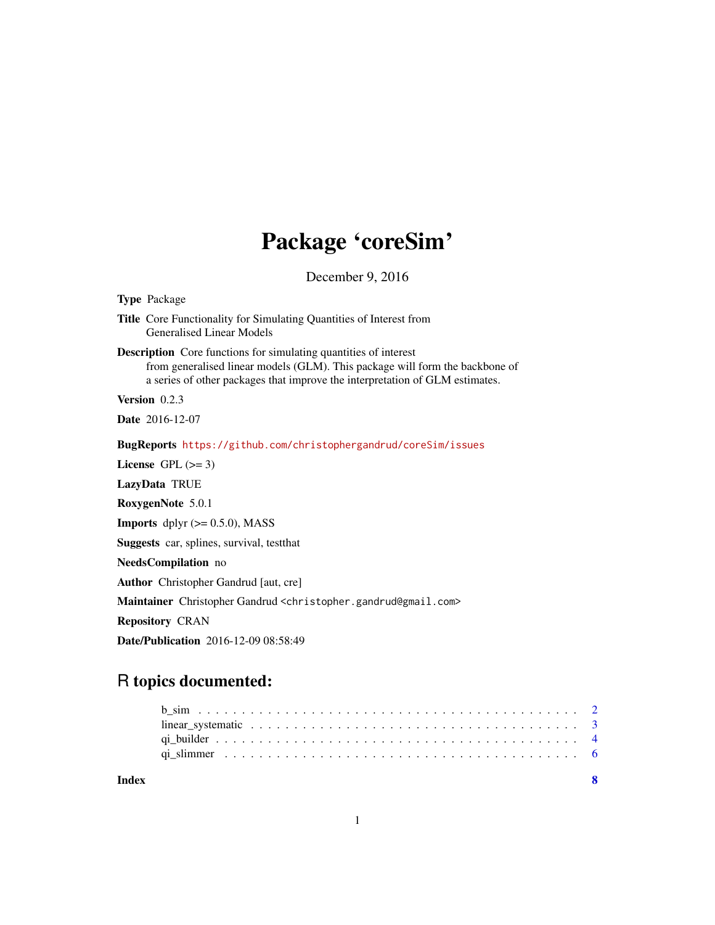# Package 'coreSim'

December 9, 2016

| <b>Type Package</b>                                                                                                                                                                                                                     |  |  |  |  |
|-----------------------------------------------------------------------------------------------------------------------------------------------------------------------------------------------------------------------------------------|--|--|--|--|
| <b>Title</b> Core Functionality for Simulating Quantities of Interest from<br><b>Generalised Linear Models</b>                                                                                                                          |  |  |  |  |
| <b>Description</b> Core functions for simulating quantities of interest<br>from generalised linear models (GLM). This package will form the backbone of<br>a series of other packages that improve the interpretation of GLM estimates. |  |  |  |  |
| Version $0.2.3$                                                                                                                                                                                                                         |  |  |  |  |
| <b>Date</b> 2016-12-07                                                                                                                                                                                                                  |  |  |  |  |
| BugReports https://github.com/christophergandrud/coreSim/issues                                                                                                                                                                         |  |  |  |  |
| License $GPL \, (= 3)$                                                                                                                                                                                                                  |  |  |  |  |
| LazyData TRUE                                                                                                                                                                                                                           |  |  |  |  |
| RoxygenNote 5.0.1                                                                                                                                                                                                                       |  |  |  |  |
| <b>Imports</b> dplyr $(>= 0.5.0)$ , MASS                                                                                                                                                                                                |  |  |  |  |
| Suggests car, splines, survival, test that                                                                                                                                                                                              |  |  |  |  |
| NeedsCompilation no                                                                                                                                                                                                                     |  |  |  |  |
| <b>Author</b> Christopher Gandrud [aut, cre]                                                                                                                                                                                            |  |  |  |  |
| Maintainer Christopher Gandrud <christopher.gandrud@gmail.com></christopher.gandrud@gmail.com>                                                                                                                                          |  |  |  |  |
| <b>Repository CRAN</b>                                                                                                                                                                                                                  |  |  |  |  |
| <b>Date/Publication</b> 2016-12-09 08:58:49                                                                                                                                                                                             |  |  |  |  |

# R topics documented:

| Index |  |
|-------|--|
|       |  |
|       |  |
|       |  |
|       |  |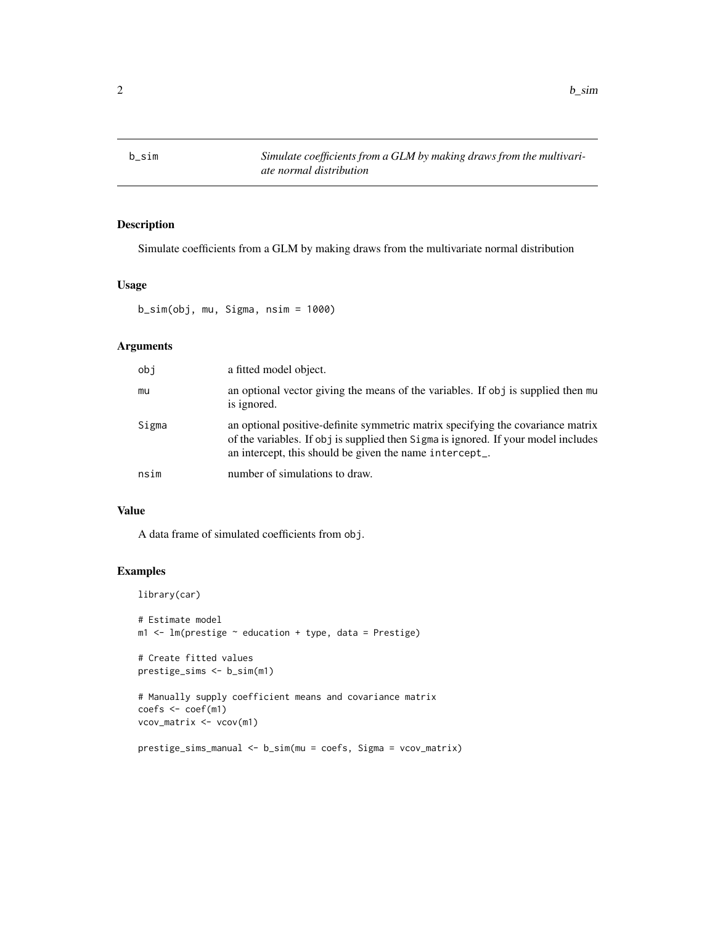<span id="page-1-1"></span><span id="page-1-0"></span>

# Description

Simulate coefficients from a GLM by making draws from the multivariate normal distribution

## Usage

b\_sim(obj, mu, Sigma, nsim = 1000)

# Arguments

| obi   | a fitted model object.                                                                                                                                                                                                           |
|-------|----------------------------------------------------------------------------------------------------------------------------------------------------------------------------------------------------------------------------------|
| mu    | an optional vector giving the means of the variables. If obj is supplied then mu<br>is ignored.                                                                                                                                  |
| Sigma | an optional positive-definite symmetric matrix specifying the covariance matrix<br>of the variables. If obj is supplied then Sigma is ignored. If your model includes<br>an intercept, this should be given the name intercept_. |
| nsim  | number of simulations to draw.                                                                                                                                                                                                   |

# Value

A data frame of simulated coefficients from obj.

```
library(car)
# Estimate model
m1 <- lm(prestige \sim education + type, data = Prestige)
# Create fitted values
prestige_sims <- b_sim(m1)
# Manually supply coefficient means and covariance matrix
coefs <- coef(m1)
vcov_matrix <- vcov(m1)
prestige_sims_manual <- b_sim(mu = coefs, Sigma = vcov_matrix)
```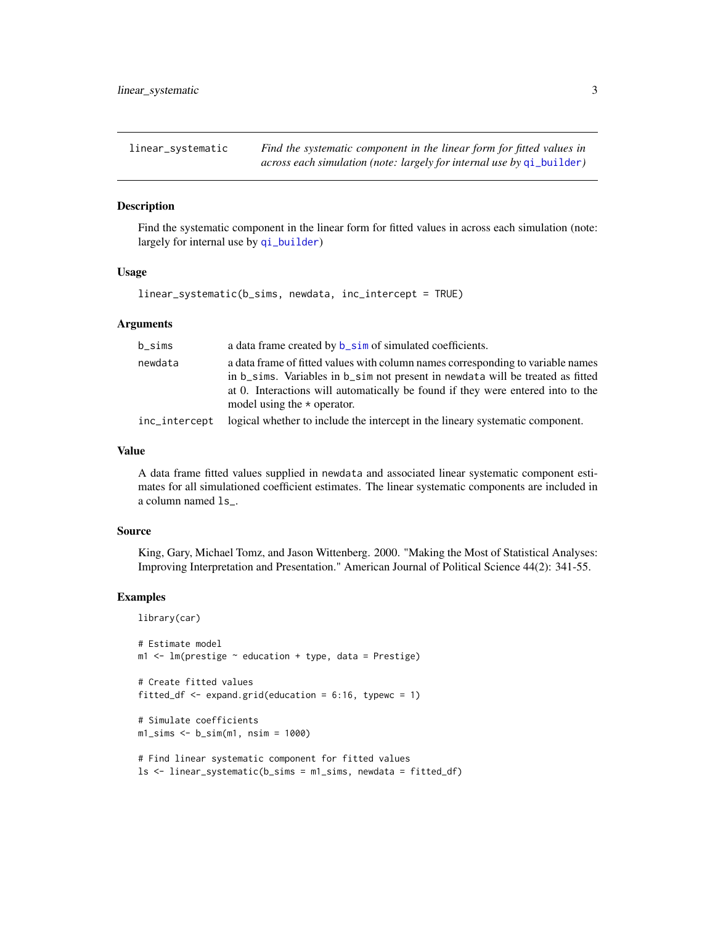<span id="page-2-1"></span><span id="page-2-0"></span>linear\_systematic *Find the systematic component in the linear form for fitted values in*

# *across each simulation (note: largely for internal use by* [qi\\_builder](#page-3-1)*)*

#### Description

Find the systematic component in the linear form for fitted values in across each simulation (note: largely for internal use by [qi\\_builder](#page-3-1))

#### Usage

linear\_systematic(b\_sims, newdata, inc\_intercept = TRUE)

#### Arguments

| $b$ _sims     | a data frame created by <b>b_sim</b> of simulated coefficients.                 |
|---------------|---------------------------------------------------------------------------------|
| newdata       | a data frame of fitted values with column names corresponding to variable names |
|               | in b_sims. Variables in b_sim not present in newdata will be treated as fitted  |
|               | at 0. Interactions will automatically be found if they were entered into to the |
|               | model using the $\star$ operator.                                               |
| inc_intercept | logical whether to include the intercept in the lineary systematic component.   |

# Value

A data frame fitted values supplied in newdata and associated linear systematic component estimates for all simulationed coefficient estimates. The linear systematic components are included in a column named ls\_.

#### Source

King, Gary, Michael Tomz, and Jason Wittenberg. 2000. "Making the Most of Statistical Analyses: Improving Interpretation and Presentation." American Journal of Political Science 44(2): 341-55.

```
library(car)
```

```
# Estimate model
m1 <- lm(prestige \sim education + type, data = Prestige)
# Create fitted values
fitted_df \leq expand.grid(education = 6:16, typewc = 1)
# Simulate coefficients
m1_sims <- b_sim(m1, nsim = 1000)
# Find linear systematic component for fitted values
ls <- linear_systematic(b_sims = m1_sims, newdata = fitted_df)
```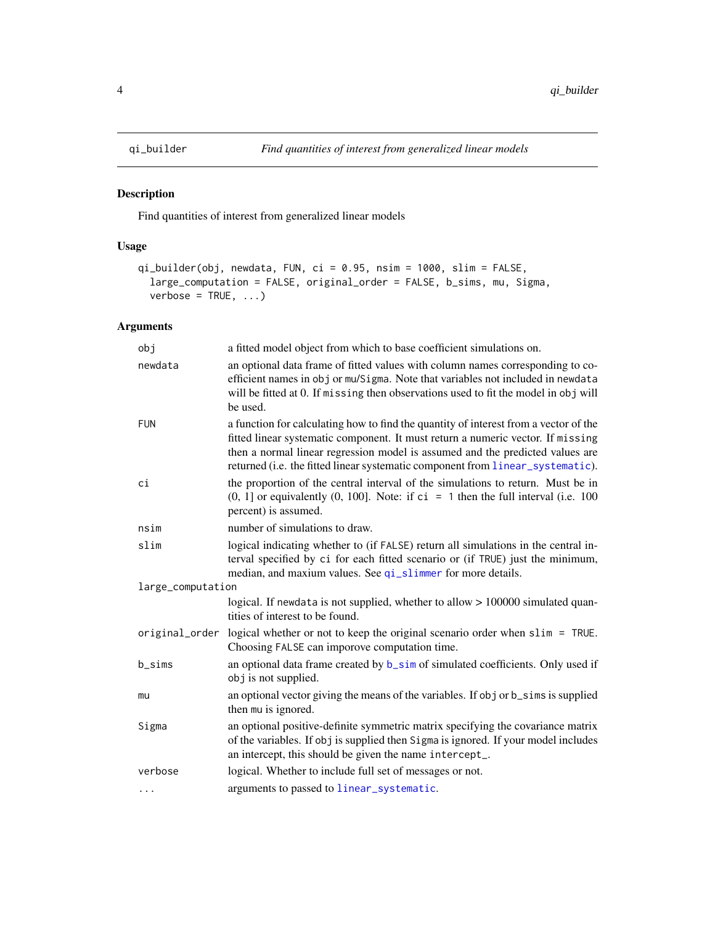# Description

Find quantities of interest from generalized linear models

# Usage

```
qi_builder(obj, newdata, FUN, ci = 0.95, nsim = 1000, slim = FALSE,
  large_computation = FALSE, original_order = FALSE, b_sims, mu, Sigma,
  verbase = TRUE, ...)
```
# Arguments

| obj               | a fitted model object from which to base coefficient simulations on.                                                                                                                                                                                                                                                                       |
|-------------------|--------------------------------------------------------------------------------------------------------------------------------------------------------------------------------------------------------------------------------------------------------------------------------------------------------------------------------------------|
| newdata           | an optional data frame of fitted values with column names corresponding to co-<br>efficient names in obj or mu/Sigma. Note that variables not included in newdata<br>will be fitted at 0. If missing then observations used to fit the model in obj will<br>be used.                                                                       |
| <b>FUN</b>        | a function for calculating how to find the quantity of interest from a vector of the<br>fitted linear systematic component. It must return a numeric vector. If missing<br>then a normal linear regression model is assumed and the predicted values are<br>returned (i.e. the fitted linear systematic component from linear_systematic). |
| ci                | the proportion of the central interval of the simulations to return. Must be in<br>$(0, 1]$ or equivalently $(0, 100]$ . Note: if ci = 1 then the full interval (i.e. 100<br>percent) is assumed.                                                                                                                                          |
| nsim              | number of simulations to draw.                                                                                                                                                                                                                                                                                                             |
| slim              | logical indicating whether to (if FALSE) return all simulations in the central in-<br>terval specified by ci for each fitted scenario or (if TRUE) just the minimum,<br>median, and maxium values. See qi_slimmer for more details.                                                                                                        |
| large_computation |                                                                                                                                                                                                                                                                                                                                            |
|                   | logical. If newdata is not supplied, whether to allow > 100000 simulated quan-<br>tities of interest to be found.                                                                                                                                                                                                                          |
|                   | original_order logical whether or not to keep the original scenario order when slim = TRUE.<br>Choosing FALSE can imporove computation time.                                                                                                                                                                                               |
| b_sims            | an optional data frame created by b_sim of simulated coefficients. Only used if<br>obj is not supplied.                                                                                                                                                                                                                                    |
| mu                | an optional vector giving the means of the variables. If obj or b_sims is supplied<br>then mu is ignored.                                                                                                                                                                                                                                  |
| Sigma             | an optional positive-definite symmetric matrix specifying the covariance matrix<br>of the variables. If obj is supplied then Sigma is ignored. If your model includes<br>an intercept, this should be given the name intercept_.                                                                                                           |
| verbose           | logical. Whether to include full set of messages or not.                                                                                                                                                                                                                                                                                   |
| .                 | arguments to passed to linear_systematic.                                                                                                                                                                                                                                                                                                  |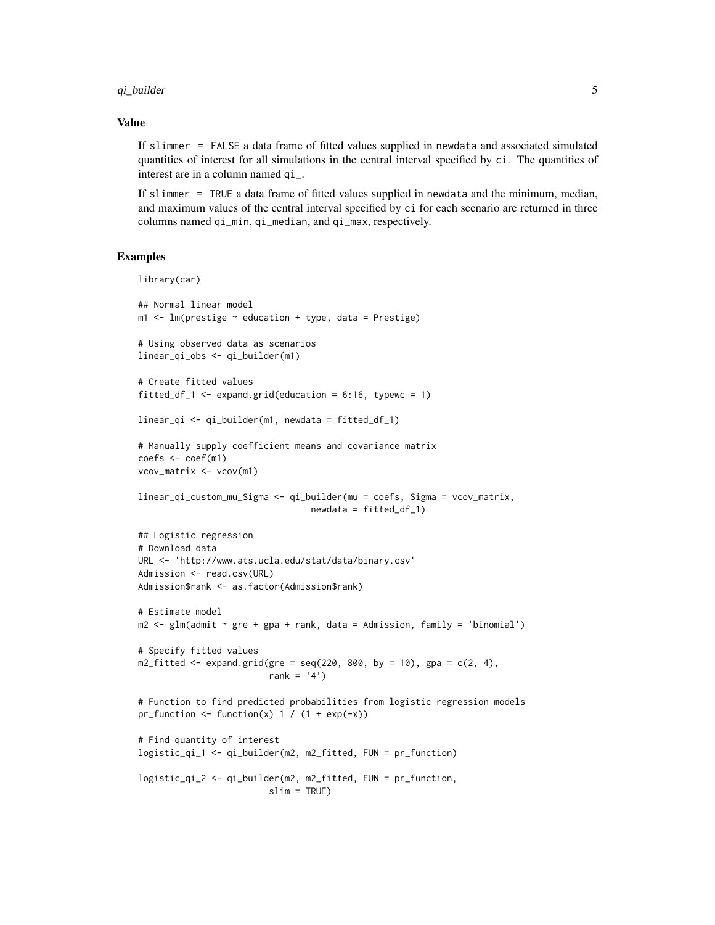#### qi\_builder 5

#### Value

If slimmer = FALSE a data frame of fitted values supplied in newdata and associated simulated quantities of interest for all simulations in the central interval specified by ci. The quantities of interest are in a column named qi\_.

If slimmer = TRUE a data frame of fitted values supplied in newdata and the minimum, median, and maximum values of the central interval specified by ci for each scenario are returned in three columns named qi\_min, qi\_median, and qi\_max, respectively.

```
library(car)
## Normal linear model
m1 <- lm(prestige \sim education + type, data = Prestige)
# Using observed data as scenarios
linear_qi_obs <- qi_builder(m1)
# Create fitted values
fitted_df_1 <- expand.grid(education = 6:16, typewc = 1)
linear_qi <- qi_builder(m1, newdata = fitted_df_1)
# Manually supply coefficient means and covariance matrix
coeffs < -coeff(m1)vcov_matrix <- vcov(m1)
linear_qi_custom_mu_Sigma <- qi_builder(mu = coefs, Sigma = vcov_matrix,
                                 newdata = fitted_df_1)
## Logistic regression
# Download data
URL <- 'http://www.ats.ucla.edu/stat/data/binary.csv'
Admission <- read.csv(URL)
Admission$rank <- as.factor(Admission$rank)
# Estimate model
m2 < - glm(admit \sim gre + gpa + rank, data = Admission, family = 'binomial')
# Specify fitted values
m2_fitted <- expand.grid(gre = seq(220, 800, by = 10), gpa = c(2, 4),
                         rank = '4')# Function to find predicted probabilities from logistic regression models
pr_function \le function(x) 1 / (1 + exp(-x))
# Find quantity of interest
logistic_qi_1 <- qi_builder(m2, m2_fitted, FUN = pr_function)
logistic_qi_2 <- qi_builder(m2, m2_fitted, FUN = pr_function,
                         slim = TRUE)
```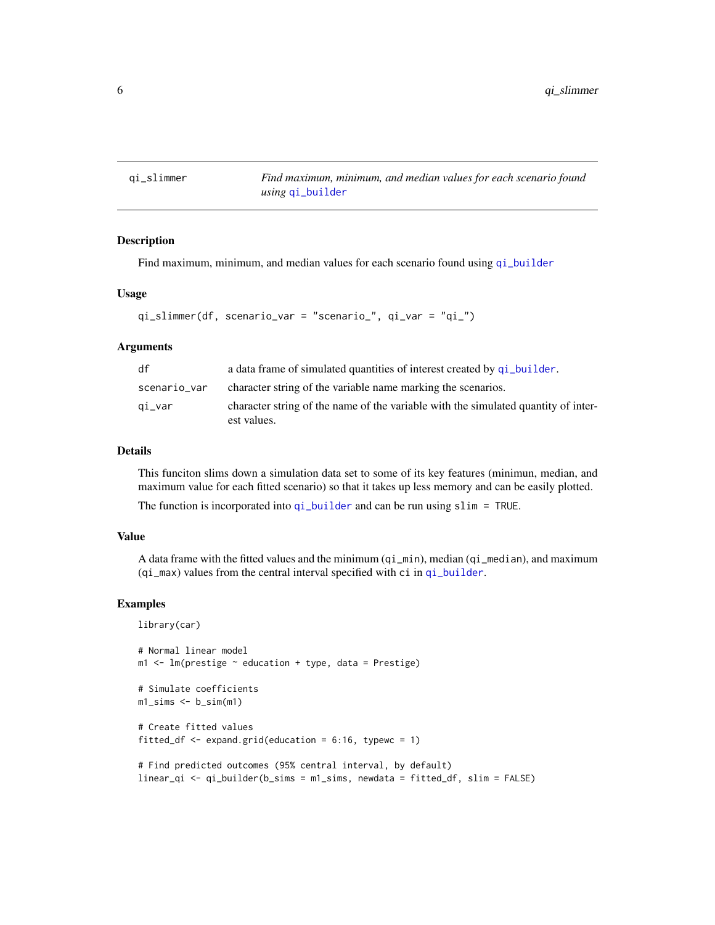<span id="page-5-1"></span><span id="page-5-0"></span>qi\_slimmer *Find maximum, minimum, and median values for each scenario found using* [qi\\_builder](#page-3-1)

#### Description

Find maximum, minimum, and median values for each scenario found using [qi\\_builder](#page-3-1)

#### Usage

```
qi_slimmer(df, scenario_var = "scenario_", qi_var = "qi_")
```
#### Arguments

| df           | a data frame of simulated quantities of interest created by q i builder.                          |
|--------------|---------------------------------------------------------------------------------------------------|
| scenario_var | character string of the variable name marking the scenarios.                                      |
| qi_var       | character string of the name of the variable with the simulated quantity of inter-<br>est values. |

## Details

This funciton slims down a simulation data set to some of its key features (minimun, median, and maximum value for each fitted scenario) so that it takes up less memory and can be easily plotted.

The function is incorporated into  $qi\_builder$  and can be run using slim = TRUE.

#### Value

A data frame with the fitted values and the minimum (qi\_min), median (qi\_median), and maximum (qi\_max) values from the central interval specified with ci in [qi\\_builder](#page-3-1).

```
library(car)
```

```
# Normal linear model
m1 <- lm(prestige \sim education + type, data = Prestige)
# Simulate coefficients
m1_sims \leq b_sim(m1)
# Create fitted values
fitted_df \leq expand.grid(education = 6:16, typewc = 1)
# Find predicted outcomes (95% central interval, by default)
linear_qi <- qi_builder(b_sims = m1_sims, newdata = fitted_df, slim = FALSE)
```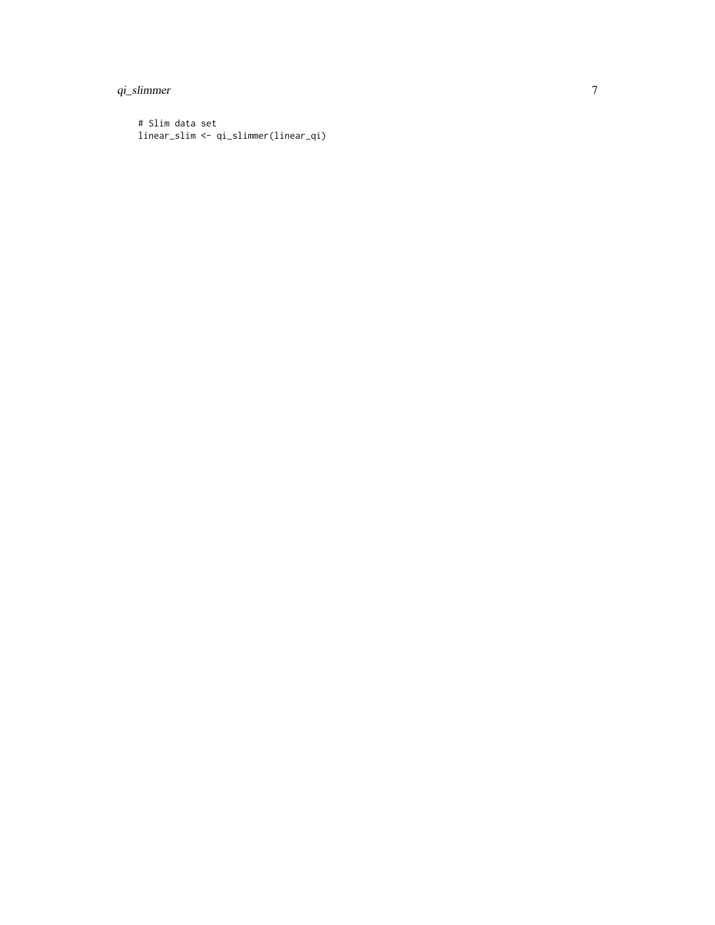# qi\_slimmer

```
# Slim data set
linear_slim <- qi_slimmer(linear_qi)
```